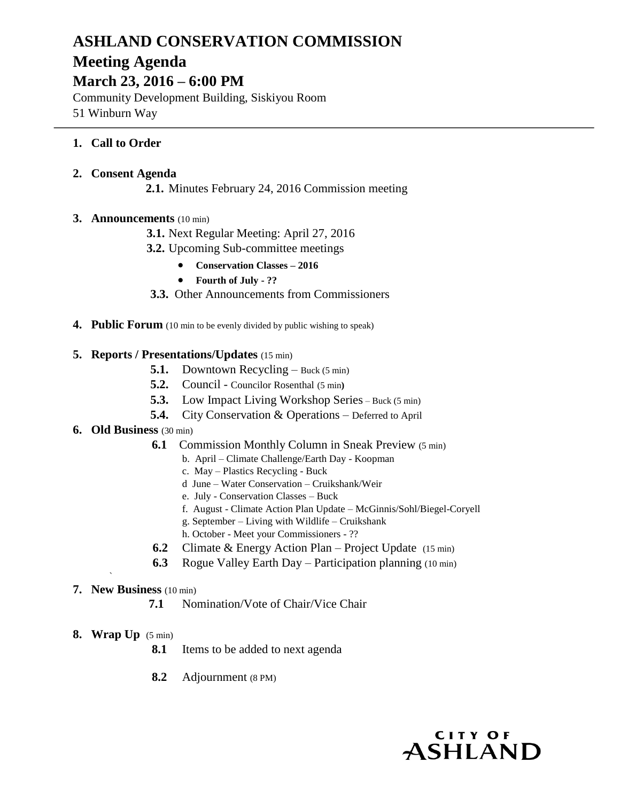# **ASHLAND CONSERVATION COMMISSION Meeting Agenda**

## **March 23, 2016 – 6:00 PM**

Community Development Building, Siskiyou Room 51 Winburn Way

## **1. Call to Order**

#### **2. Consent Agenda**

**2.1.** Minutes February 24, 2016 Commission meeting

## **3. Announcements** (10 min)

- **3.1.** Next Regular Meeting: April 27, 2016
- **3.2.** Upcoming Sub-committee meetings
	- **Conservation Classes – 2016**
	- **Fourth of July - ??**
- **3.3.** Other Announcements from Commissioners
- **4. Public Forum** (10 min to be evenly divided by public wishing to speak)

## **5. Reports / Presentations/Updates** (15 min)

- **5.1.** Downtown Recycling Buck (5 min)
- **5.2.** Council Councilor Rosenthal (5 min**)**
- **5.3.** Low Impact Living Workshop Series Buck (5 min)
- **5.4.** City Conservation & Operations Deferred to April
- **6. Old Business** (30 min)
	- **6.1** Commission Monthly Column in Sneak Preview (5 min)
		- b. April Climate Challenge/Earth Day Koopman
		- c. May Plastics Recycling Buck
		- d June Water Conservation Cruikshank/Weir
		- e. July Conservation Classes Buck
		- f. August Climate Action Plan Update McGinnis/Sohl/Biegel-Coryell
		- g. September Living with Wildlife Cruikshank
		- h. October Meet your Commissioners ??
	- **6.2** Climate & Energy Action Plan Project Update (15 min)
	- **6.3** Rogue Valley Earth Day Participation planning (10 min)

## **7. New Business** (10 min)

- **7.1** Nomination/Vote of Chair/Vice Chair
- **8. Wrap Up** (5 min)

`

- **8.1** Items to be added to next agenda
- **8.2** Adjournment (8 PM)

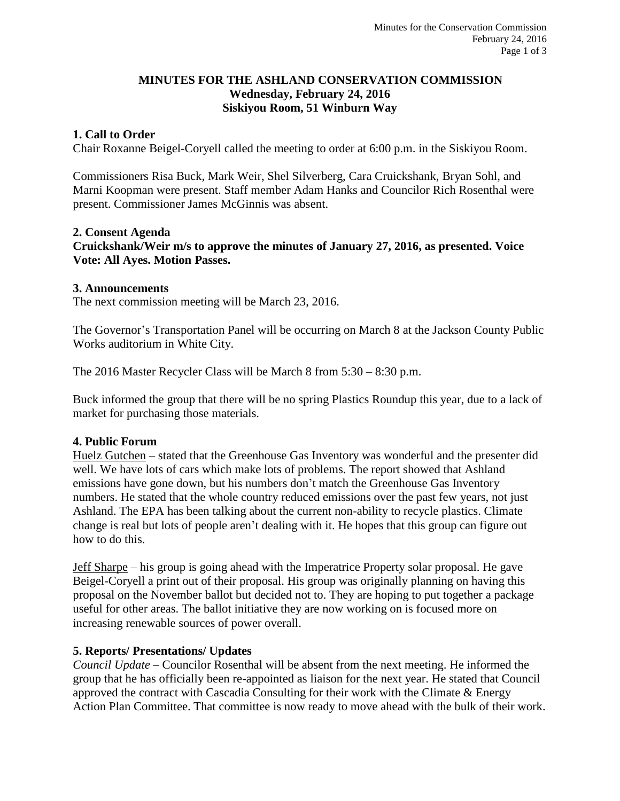## **MINUTES FOR THE ASHLAND CONSERVATION COMMISSION Wednesday, February 24, 2016 Siskiyou Room, 51 Winburn Way**

## **1. Call to Order**

Chair Roxanne Beigel-Coryell called the meeting to order at 6:00 p.m. in the Siskiyou Room.

Commissioners Risa Buck, Mark Weir, Shel Silverberg, Cara Cruickshank, Bryan Sohl, and Marni Koopman were present. Staff member Adam Hanks and Councilor Rich Rosenthal were present. Commissioner James McGinnis was absent.

#### **2. Consent Agenda**

**Cruickshank/Weir m/s to approve the minutes of January 27, 2016, as presented. Voice Vote: All Ayes. Motion Passes.**

#### **3. Announcements**

The next commission meeting will be March 23, 2016.

The Governor's Transportation Panel will be occurring on March 8 at the Jackson County Public Works auditorium in White City.

The 2016 Master Recycler Class will be March 8 from 5:30 – 8:30 p.m.

Buck informed the group that there will be no spring Plastics Roundup this year, due to a lack of market for purchasing those materials.

#### **4. Public Forum**

Huelz Gutchen – stated that the Greenhouse Gas Inventory was wonderful and the presenter did well. We have lots of cars which make lots of problems. The report showed that Ashland emissions have gone down, but his numbers don't match the Greenhouse Gas Inventory numbers. He stated that the whole country reduced emissions over the past few years, not just Ashland. The EPA has been talking about the current non-ability to recycle plastics. Climate change is real but lots of people aren't dealing with it. He hopes that this group can figure out how to do this.

Jeff Sharpe – his group is going ahead with the Imperatrice Property solar proposal. He gave Beigel-Coryell a print out of their proposal. His group was originally planning on having this proposal on the November ballot but decided not to. They are hoping to put together a package useful for other areas. The ballot initiative they are now working on is focused more on increasing renewable sources of power overall.

#### **5. Reports/ Presentations/ Updates**

*Council Update* – Councilor Rosenthal will be absent from the next meeting. He informed the group that he has officially been re-appointed as liaison for the next year. He stated that Council approved the contract with Cascadia Consulting for their work with the Climate & Energy Action Plan Committee. That committee is now ready to move ahead with the bulk of their work.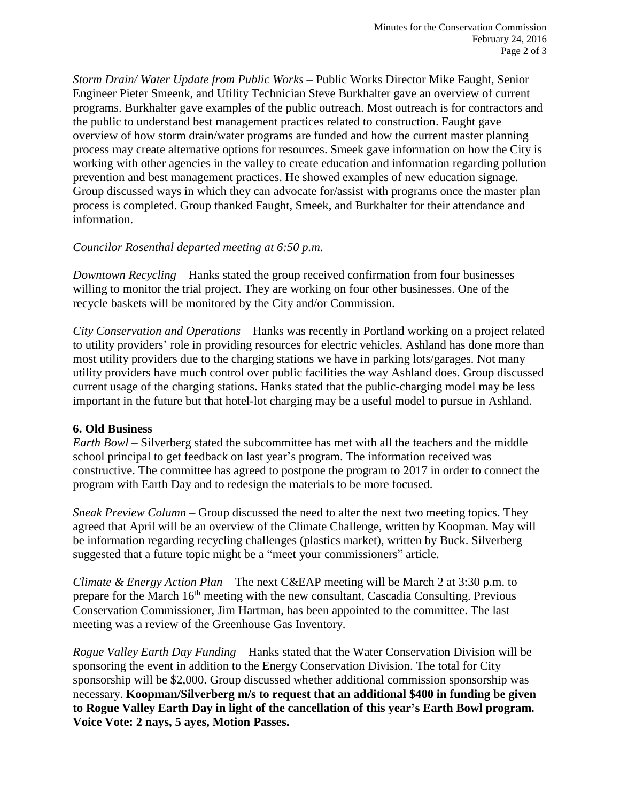*Storm Drain/ Water Update from Public Works* – Public Works Director Mike Faught, Senior Engineer Pieter Smeenk, and Utility Technician Steve Burkhalter gave an overview of current programs. Burkhalter gave examples of the public outreach. Most outreach is for contractors and the public to understand best management practices related to construction. Faught gave overview of how storm drain/water programs are funded and how the current master planning process may create alternative options for resources. Smeek gave information on how the City is working with other agencies in the valley to create education and information regarding pollution prevention and best management practices. He showed examples of new education signage. Group discussed ways in which they can advocate for/assist with programs once the master plan process is completed. Group thanked Faught, Smeek, and Burkhalter for their attendance and information.

## *Councilor Rosenthal departed meeting at 6:50 p.m.*

*Downtown Recycling* – Hanks stated the group received confirmation from four businesses willing to monitor the trial project. They are working on four other businesses. One of the recycle baskets will be monitored by the City and/or Commission.

*City Conservation and Operations* – Hanks was recently in Portland working on a project related to utility providers' role in providing resources for electric vehicles. Ashland has done more than most utility providers due to the charging stations we have in parking lots/garages. Not many utility providers have much control over public facilities the way Ashland does. Group discussed current usage of the charging stations. Hanks stated that the public-charging model may be less important in the future but that hotel-lot charging may be a useful model to pursue in Ashland.

#### **6. Old Business**

*Earth Bowl –* Silverberg stated the subcommittee has met with all the teachers and the middle school principal to get feedback on last year's program. The information received was constructive. The committee has agreed to postpone the program to 2017 in order to connect the program with Earth Day and to redesign the materials to be more focused.

*Sneak Preview Column* – Group discussed the need to alter the next two meeting topics. They agreed that April will be an overview of the Climate Challenge, written by Koopman. May will be information regarding recycling challenges (plastics market), written by Buck. Silverberg suggested that a future topic might be a "meet your commissioners" article.

*Climate & Energy Action Plan* – The next C&EAP meeting will be March 2 at 3:30 p.m. to prepare for the March 16<sup>th</sup> meeting with the new consultant, Cascadia Consulting. Previous Conservation Commissioner, Jim Hartman, has been appointed to the committee. The last meeting was a review of the Greenhouse Gas Inventory.

*Rogue Valley Earth Day Funding* – Hanks stated that the Water Conservation Division will be sponsoring the event in addition to the Energy Conservation Division. The total for City sponsorship will be \$2,000. Group discussed whether additional commission sponsorship was necessary. **Koopman/Silverberg m/s to request that an additional \$400 in funding be given to Rogue Valley Earth Day in light of the cancellation of this year's Earth Bowl program. Voice Vote: 2 nays, 5 ayes, Motion Passes.**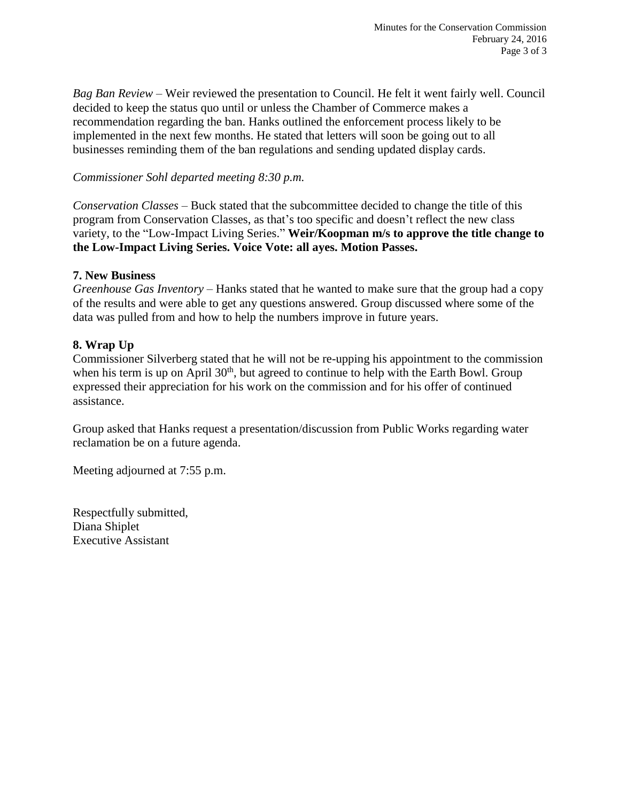*Bag Ban Review* – Weir reviewed the presentation to Council. He felt it went fairly well. Council decided to keep the status quo until or unless the Chamber of Commerce makes a recommendation regarding the ban. Hanks outlined the enforcement process likely to be implemented in the next few months. He stated that letters will soon be going out to all businesses reminding them of the ban regulations and sending updated display cards.

## *Commissioner Sohl departed meeting 8:30 p.m.*

*Conservation Classes* – Buck stated that the subcommittee decided to change the title of this program from Conservation Classes, as that's too specific and doesn't reflect the new class variety, to the "Low-Impact Living Series." **Weir/Koopman m/s to approve the title change to the Low-Impact Living Series. Voice Vote: all ayes. Motion Passes.**

## **7. New Business**

*Greenhouse Gas Inventory* – Hanks stated that he wanted to make sure that the group had a copy of the results and were able to get any questions answered. Group discussed where some of the data was pulled from and how to help the numbers improve in future years.

## **8. Wrap Up**

Commissioner Silverberg stated that he will not be re-upping his appointment to the commission when his term is up on April  $30<sup>th</sup>$ , but agreed to continue to help with the Earth Bowl. Group expressed their appreciation for his work on the commission and for his offer of continued assistance.

Group asked that Hanks request a presentation/discussion from Public Works regarding water reclamation be on a future agenda.

Meeting adjourned at 7:55 p.m.

Respectfully submitted, Diana Shiplet Executive Assistant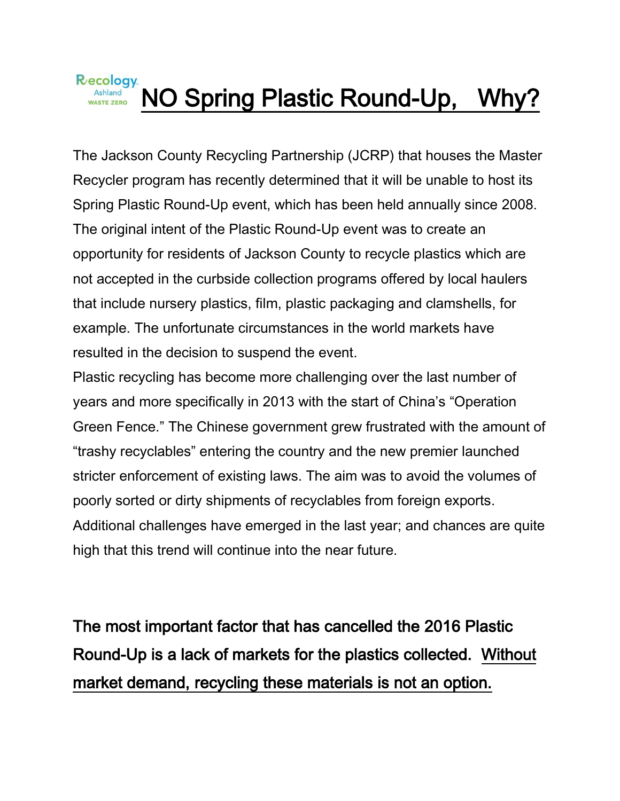

The Jackson County Recycling Partnership (JCRP) that houses the Master Recycler program has recently determined that it will be unable to host its Spring Plastic Round-Up event, which has been held annually since 2008. The original intent of the Plastic Round-Up event was to create an opportunity for residents of Jackson County to recycle plastics which are not accepted in the curbside collection programs offered by local haulers that include nursery plastics, film, plastic packaging and clamshells, for example. The unfortunate circumstances in the world markets have resulted in the decision to suspend the event.

Plastic recycling has become more challenging over the last number of years and more specifically in 2013 with the start of China's "Operation Green Fence." The Chinese government grew frustrated with the amount of "trashy recyclables" entering the country and the new premier launched stricter enforcement of existing laws. The aim was to avoid the volumes of poorly sorted or dirty shipments of recyclables from foreign exports. Additional challenges have emerged in the last year; and chances are quite high that this trend will continue into the near future.

The most important factor that has cancelled the 2016 Plastic Round-Up is a lack of markets for the plastics collected. Without market demand, recycling these materials is not an option.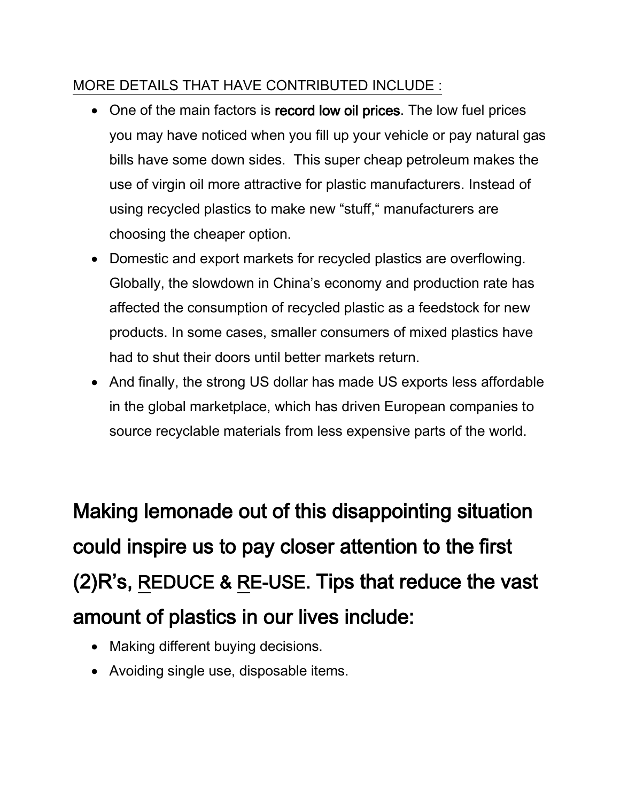## MORE DETAILS THAT HAVE CONTRIBUTED INCLUDE :

- One of the main factors is record low oil prices. The low fuel prices you may have noticed when you fill up your vehicle or pay natural gas bills have some down sides. This super cheap petroleum makes the use of virgin oil more attractive for plastic manufacturers. Instead of using recycled plastics to make new "stuff," manufacturers are choosing the cheaper option.
- Domestic and export markets for recycled plastics are overflowing. Globally, the slowdown in China's economy and production rate has affected the consumption of recycled plastic as a feedstock for new products. In some cases, smaller consumers of mixed plastics have had to shut their doors until better markets return.
- And finally, the strong US dollar has made US exports less affordable in the global marketplace, which has driven European companies to source recyclable materials from less expensive parts of the world.

Making lemonade out of this disappointing situation could inspire us to pay closer attention to the first (2)R's, REDUCE & RE-USE. Tips that reduce the vast amount of plastics in our lives include:

- Making different buying decisions.
- Avoiding single use, disposable items.